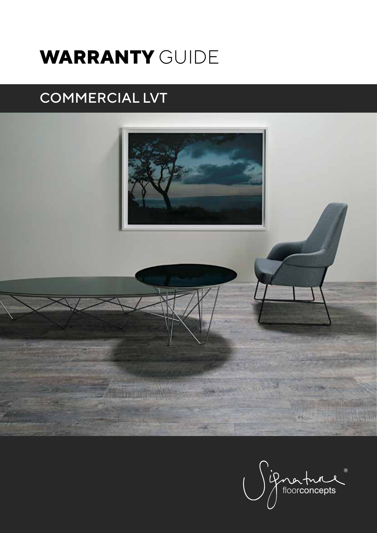# **WARRANTY** GUIDE

# COMMERCIAL LVT



floorconcepts ®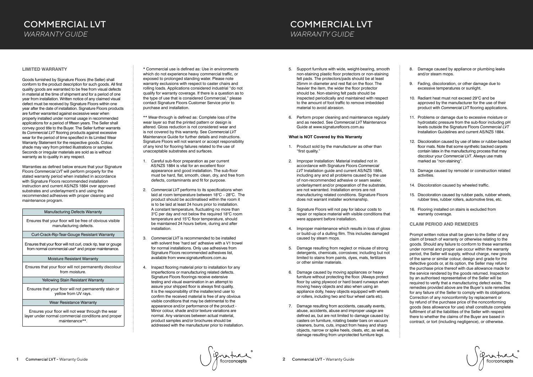### COMMERCIAL LVT *WARRANTY GUIDE*

Grahame

#### **LIMITED WARRANTY**

Goods furnished by Signature Floors (the Seller) shall conform to the product description for such goods. All first quality goods are warranted to be free from visual defects in material at the time of shipment and for a period of one year from installation. Written notice of any claimed visual defect must be received by Signature Floors within one year after the date of installation. Signature Floors products are further warranted against excessive wear when properly installed under normal usage in recommended applications for a period of fifteen years. The Seller shall convey good title to the Buyer. The Seller further warrants its *Commercial LVT* flooring products against excessive wear for the period of time specified in its Limited Wear Warranty Statement for the respective goods. Colour shade may vary from printed illustrations or samples. Seconds or irregular materials are sold as is without warranty as to quality in any respect.

Warranties as defined below ensure that your Signature Floors *Commercial LVT* will perform properly for the stated warranty period when installed in accordance with Signature Floors recommended installation instruction and current AS/NZS 1884 over approved substrates and underlayment's and using the recommended adhesives with proper cleaning and maintenance program.

#### Manufacturing Defects Warranty

\*\* Wear-through is defined as: Complete loss of the wear layer so that the printed pattern or design is altered. Gloss reduction is not considered wear and is not covered by this warranty. See *Commercial LVT*  Maintenance Guide for further details and instructions. Signature Floors will not warrant or accept responsibility of any kind for flooring failures related to the use of unacceptable substrates and surfaces.

Ensures that your floor will be free of obvious visible manufacturing defects.

Curl-Crack-Rip-Tear-Gouge Resistant Warranty

Ensures that your floor will not curl, crack rip, tear or gouge from normal commercial use\* and proper maintenance.

#### Moisture Resistant Warranty

Ensures that your floor will not permanently discolour from moisture.

#### Yellowing Stain Resistant Warranty

Ensures that your floor will not permanently stain or yellow from UV rays.

#### Wear Resistance Warranty

Ensures your floor will not wear through the wear layer under normal commercial conditions and proper maintenance\*\*.

\* Commercial use is defined as: Use in environments which do not experience heavy commercial traffic, or exposed to prolonged standing water. Please note warranty exclusions with respect to caster chairs and rolling loads. Applications considered industrial "do not qualify for warranty coverage. If there is a question as to the type of use that is considered Commercial," please contact Signature Floors Customer Service prior to purchase and installation.

- 8. Damage caused by appliance or plumbing leaks and/or steam mops.
- 9. Fading, discoloration, or other damage due to excessive temperatures or sunlight.
- 10. Radiant heat must not exceed 29°C and be approved by the manufacturer for the use of their product with *Commercial LVT* flooring applications.
- 11. Problems or damage due to excessive moisture or hydrostatic pressure from the sub-floor including pH levels outside the Signature Floors *Commercial LVT*  Installation Guidelines and current AS/NZS 1884.
- 12. Discoloration caused by use of latex or rubber-backed floor mats. Note that some synthetic backed carpets contain latex in the manufacturing process that may discolour your *Commercial LVT*. Always use mats marked as "non-staining".
- 13. Damage caused by remodel or construction related activities.
- 14. Discoloration caused by wheeled traffic.
- 15. Discoloration caused by rubber pads, rubber wheels, rubber tires, rubber rollers, automotive tires, etc.
- 16. Flooring installed on stairs is excluded from warranty coverage.
- 1. Careful sub-floor preparation as per current AS/NZS 1884 is vital for an excellent floor appearance and good installation. The sub-floor must be hard, flat, smooth, clean, dry, and free from defects, contaminants and fit for purpose.
- 2. *Commercial LVT* performs to its specifications when laid at room temperature between 18°C – 28°C. The product should be acclimatised within the room it is to be laid at least 24 hours prior to installation. A constant temperature, fluctuating no more than 3°C per day and not below the required 18°C room temperature and 15°C floor temperature, should be maintained 24 hours before, during and after installation.
- 3. *Commercial LVT* is recommended to be installed with solvent free 'hard set' adhesive with a V1 trowel for normal installations. Only use adhesives from Signature Floors recommended adhesives list, available from www.signaturefloors.com.au
- 4. Inspect flooring material prior to installation for any imperfections or manufacturing related defects. Signature Floors floorings receive extensive testing and visual examination in an attempt to assure your shipped floor is always first quality. It is the responsibility of the installer/end user to confirm the received material is free of any obvious visible conditions that may be detrimental to the appearance and/or performance of the product - Minor colour, shade and/or texture variations are normal. Any variances between actual material, product samples and/or brochures should be addressed with the manufacturer prior to installation.

# COMMERCIAL LVT *WARRANTY GUIDE*

- 5. Support furniture with wide, weight-bearing, smooth non-staining plastic floor protectors or non-staining felt pads. The protectors/pads should be at least 25mm in diameter and rest flat on the floor. The heavier the item, the wider the floor protector should be. Non-staining felt pads should be inspected periodically and maintained with respect to the amount of foot traffic to remove imbedded material to avoid abrasion.
- 6. Perform proper cleaning and maintenance regularly and as needed. See *Commercial LVT* Maintenance Guide at www.signaturefloors.com.au

#### **What is NOT Covered by this Warranty**

- 1. Product sold by the manufacturer as other than "first quality."
- 2. Improper Installation: Material installed not in accordance with Signature Floors *Commercial LVT* Installation guide and current AS/NZS 1884, including any and all problems caused by the use of non-recommended adhesive or seam sealer, underlayment and/or preparation of the substrate, are not warranted. Installation errors are not manufacturing related conditions. Signature Floors does not warrant installer workmanship.
- 3. Signature Floors will not pay for labour costs to repair or replace material with visible conditions that were apparent before installation.
- 4. Improper maintenance which results in loss of gloss or build-up of a dulling film. This includes damaged caused by steam mops.
- 5. Damage resulting from neglect or misuse of strong detergents, chemicals, corrosives; including but not limited to stains from paints, dyes, mats, fertilizers or other similar materials.
- 6. Damage caused by moving appliances or heavy furniture without protecting the floor. (Always protect floor by using plywood or hard board runways when moving heavy objects and also when using an appliance dolly, heavy objects equipped with wheels or rollers, including two and four wheel carts etc).
- 7. Damage resulting from accidents, casualty events, abuse, accidents, abuse and improper usage are defined as, but are not limited to damage caused by: casters on furniture, rotating beater bars on vacuum cleaners, burns, cuts, impact from heavy and sharp objects, narrow or spike heels, cleats, etc, as well as, damage resulting from unprotected furniture legs.

#### **CLAIM PERIOD AND REMEDIES**

Prompt written notice shall be given to the Seller of any claim of breach of warranty or otherwise relating to the goods. Should any failure to conform to these warranties under normal and proper use occur within the warranty period, the Seller will supply, without charge, new goods of the same or similar colour, design and grade for the defective goods or, at its option, the Seller may refund the purchase price thereof with due allowance made for the service rendered by the goods returned. Inspection by an authorised representative of the Seller will be required to verify that a manufacturing defect exists. The remedies provided above are the Buyer's sole remedies for any failure of the Seller to comply with its obligations. Correction of any nonconformity by replacement or by refund of the purchase price of the nonconforming goods (less allowance for use) shall constitute complete fulfilment of all the liabilities of the Seller with respect there to whether the claims of the Buyer are based in contract, or tort (including negligence), or otherwise.

Grature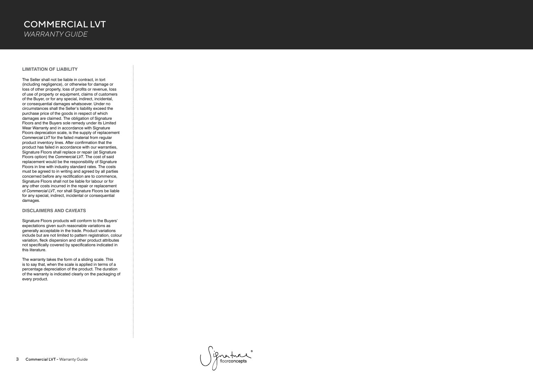# COMMERCIAL LVT *WARRANTY GUIDE*

#### **LIMITATION OF LIABILITY**

The Seller shall not be liable in contract, in tort (including negligence), or otherwise for damage or loss of other property, loss of profits or revenue, loss of use of property or equipment, claims of customers of the Buyer, or for any special, indirect, incidental, or consequential damages whatsoever. Under no circumstances shall the Seller's liability exceed the purchase price of the goods in respect of which damages are claimed. The obligation of Signature Floors and the Buyers sole remedy under its Limited Wear Warranty and in accordance with Signature Floors deprecation scale, is the supply of replacement *Commercial LVT* for the failed material from regular product inventory lines. After confirmation that the product has failed in accordance with our warranties, Signature Floors shall replace or repair (at Signature Floors option) the *Commercial LVT*. The cost of said replacement would be the responsibility of Signature Floors in line with industry standard rates. The costs must be agreed to in writing and agreed by all parties concerned before any rectification are to commence, Signature Floors shall not be liable for labour or for any other costs incurred in the repair or replacement of *Commercial LVT*, nor shall Signature Floors be liable for any special, indirect, incidental or consequential damages.

#### **DISCLAIMERS AND CAVEATS**

Signature Floors products will conform to the Buyers' expectations given such reasonable variations as generally acceptable in the trade. Product variations include but are not limited to pattern registration, colour variation, fleck dispersion and other product attributes not specifically covered by specifications indicated in this literature.

The warranty takes the form of a sliding scale. This is to say that, when the scale is applied in terms of a percentage depreciation of the product. The duration of the warranty is indicated clearly on the packaging of every product.